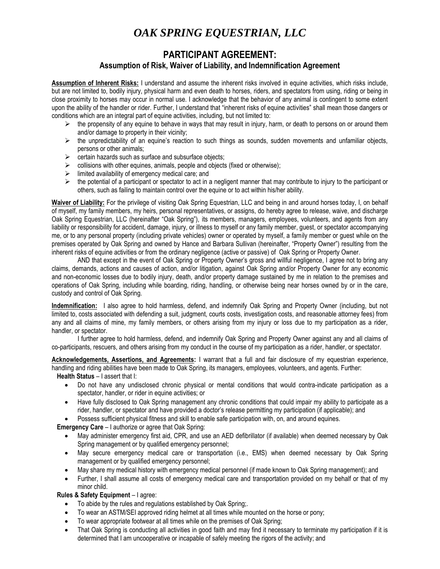## *OAK SPRING EQUESTRIAN, LLC*

## **PARTICIPANT AGREEMENT: Assumption of Risk, Waiver of Liability, and Indemnification Agreement**

**Assumption of Inherent Risks:** I understand and assume the inherent risks involved in equine activities, which risks include, but are not limited to, bodily injury, physical harm and even death to horses, riders, and spectators from using, riding or being in close proximity to horses may occur in normal use. I acknowledge that the behavior of any animal is contingent to some extent upon the ability of the handler or rider. Further, I understand that "inherent risks of equine activities" shall mean those dangers or conditions which are an integral part of equine activities, including, but not limited to:

- $\triangleright$  the propensity of any equine to behave in ways that may result in injury, harm, or death to persons on or around them and/or damage to property in their vicinity;
- $\triangleright$  the unpredictability of an equine's reaction to such things as sounds, sudden movements and unfamiliar objects, persons or other animals;
- $\triangleright$  certain hazards such as surface and subsurface objects;
- $\triangleright$  collisions with other equines, animals, people and objects (fixed or otherwise);
- $\triangleright$  limited availability of emergency medical care; and
- $\triangleright$  the potential of a participant or spectator to act in a negligent manner that may contribute to injury to the participant or others, such as failing to maintain control over the equine or to act within his/her ability.

**Waiver of Liability:** For the privilege of visiting Oak Spring Equestrian, LLC and being in and around horses today, I, on behalf of myself, my family members, my heirs, personal representatives, or assigns, do hereby agree to release, waive, and discharge Oak Spring Equestrian, LLC (hereinafter "Oak Spring"), its members, managers, employees, volunteers, and agents from any liability or responsibility for accident, damage, injury, or illness to myself or any family member, guest, or spectator accompanying me, or to any personal property (including private vehicles) owner or operated by myself, a family member or guest while on the premises operated by Oak Spring and owned by Hance and Barbara Sullivan (hereinafter, "Property Owner") resulting from the inherent risks of equine activities or from the ordinary negligence (active or passive) of Oak Spring or Property Owner.

AND that except in the event of Oak Spring or Property Owner's gross and willful negligence, I agree not to bring any claims, demands, actions and causes of action, and/or litigation, against Oak Spring and/or Property Owner for any economic and non-economic losses due to bodily injury, death, and/or property damage sustained by me in relation to the premises and operations of Oak Spring, including while boarding, riding, handling, or otherwise being near horses owned by or in the care, custody and control of Oak Spring.

**Indemnification:** I also agree to hold harmless, defend, and indemnify Oak Spring and Property Owner (including, but not limited to, costs associated with defending a suit, judgment, courts costs, investigation costs, and reasonable attorney fees) from any and all claims of mine, my family members, or others arising from my injury or loss due to my participation as a rider, handler, or spectator.

I further agree to hold harmless, defend, and indemnify Oak Spring and Property Owner against any and all claims of co-participants, rescuers, and others arising from my conduct in the course of my participation as a rider, handler, or spectator.

**Acknowledgements, Assertions, and Agreements:** I warrant that a full and fair disclosure of my equestrian experience, handling and riding abilities have been made to Oak Spring, its managers, employees, volunteers, and agents. Further:

**Health Status** – I assert that I:

- Do not have any undisclosed chronic physical or mental conditions that would contra-indicate participation as a spectator, handler, or rider in equine activities; or
- Have fully disclosed to Oak Spring management any chronic conditions that could impair my ability to participate as a rider, handler, or spectator and have provided a doctor's release permitting my participation (if applicable); and
- Possess sufficient physical fitness and skill to enable safe participation with, on, and around equines.

**Emergency Care** – I authorize or agree that Oak Spring:

- May administer emergency first aid, CPR, and use an AED defibrillator (if available) when deemed necessary by Oak Spring management or by qualified emergency personnel;
- May secure emergency medical care or transportation (i.e., EMS) when deemed necessary by Oak Spring management or by qualified emergency personnel;
- May share my medical history with emergency medical personnel (if made known to Oak Spring management); and
- Further, I shall assume all costs of emergency medical care and transportation provided on my behalf or that of my minor child.

## **Rules & Safety Equipment** – I agree:

- To abide by the rules and regulations established by Oak Spring;.
- To wear an ASTM/SEI approved riding helmet at all times while mounted on the horse or pony;
- To wear appropriate footwear at all times while on the premises of Oak Spring;
- That Oak Spring is conducting all activities in good faith and may find it necessary to terminate my participation if it is determined that I am uncooperative or incapable of safely meeting the rigors of the activity; and